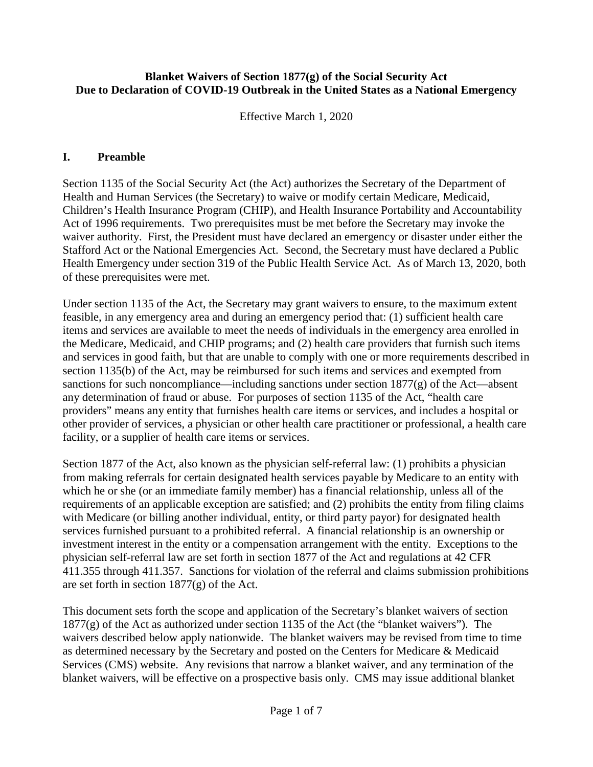## **Blanket Waivers of Section 1877(g) of the Social Security Act Due to Declaration of COVID-19 Outbreak in the United States as a National Emergency**

Effective March 1, 2020

## **I. Preamble**

Section 1135 of the Social Security Act (the Act) authorizes the Secretary of the Department of Health and Human Services (the Secretary) to waive or modify certain Medicare, Medicaid, Children's Health Insurance Program (CHIP), and Health Insurance Portability and Accountability Act of 1996 requirements. Two prerequisites must be met before the Secretary may invoke the waiver authority. First, the President must have declared an emergency or disaster under either the Stafford Act or the National Emergencies Act. Second, the Secretary must have declared a Public Health Emergency under section 319 of the Public Health Service Act. As of March 13, 2020, both of these prerequisites were met.

Under section 1135 of the Act, the Secretary may grant waivers to ensure, to the maximum extent feasible, in any emergency area and during an emergency period that: (1) sufficient health care items and services are available to meet the needs of individuals in the emergency area enrolled in the Medicare, Medicaid, and CHIP programs; and (2) health care providers that furnish such items and services in good faith, but that are unable to comply with one or more requirements described in section 1135(b) of the Act, may be reimbursed for such items and services and exempted from sanctions for such noncompliance—including sanctions under section  $1877(g)$  of the Act—absent any determination of fraud or abuse. For purposes of section 1135 of the Act, "health care providers" means any entity that furnishes health care items or services, and includes a hospital or other provider of services, a physician or other health care practitioner or professional, a health care facility, or a supplier of health care items or services.

Section 1877 of the Act, also known as the physician self-referral law: (1) prohibits a physician from making referrals for certain designated health services payable by Medicare to an entity with which he or she (or an immediate family member) has a financial relationship, unless all of the requirements of an applicable exception are satisfied; and (2) prohibits the entity from filing claims with Medicare (or billing another individual, entity, or third party payor) for designated health services furnished pursuant to a prohibited referral. A financial relationship is an ownership or investment interest in the entity or a compensation arrangement with the entity. Exceptions to the physician self-referral law are set forth in section 1877 of the Act and regulations at 42 CFR 411.355 through 411.357. Sanctions for violation of the referral and claims submission prohibitions are set forth in section  $1877(g)$  of the Act.

This document sets forth the scope and application of the Secretary's blanket waivers of section  $1877(g)$  of the Act as authorized under section 1135 of the Act (the "blanket waivers"). The waivers described below apply nationwide. The blanket waivers may be revised from time to time as determined necessary by the Secretary and posted on the Centers for Medicare & Medicaid Services (CMS) website. Any revisions that narrow a blanket waiver, and any termination of the blanket waivers, will be effective on a prospective basis only. CMS may issue additional blanket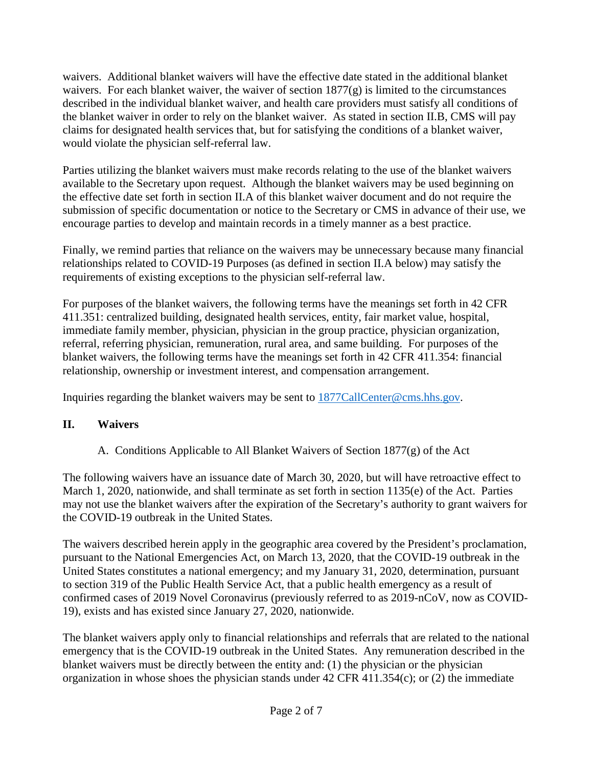waivers. Additional blanket waivers will have the effective date stated in the additional blanket waivers. For each blanket waiver, the waiver of section 1877(g) is limited to the circumstances described in the individual blanket waiver, and health care providers must satisfy all conditions of the blanket waiver in order to rely on the blanket waiver. As stated in section II.B, CMS will pay claims for designated health services that, but for satisfying the conditions of a blanket waiver, would violate the physician self-referral law.

Parties utilizing the blanket waivers must make records relating to the use of the blanket waivers available to the Secretary upon request. Although the blanket waivers may be used beginning on the effective date set forth in section II.A of this blanket waiver document and do not require the submission of specific documentation or notice to the Secretary or CMS in advance of their use, we encourage parties to develop and maintain records in a timely manner as a best practice.

Finally, we remind parties that reliance on the waivers may be unnecessary because many financial relationships related to COVID-19 Purposes (as defined in section II.A below) may satisfy the requirements of existing exceptions to the physician self-referral law.

For purposes of the blanket waivers, the following terms have the meanings set forth in 42 CFR 411.351: centralized building, designated health services, entity, fair market value, hospital, immediate family member, physician, physician in the group practice, physician organization, referral, referring physician, remuneration, rural area, and same building. For purposes of the blanket waivers, the following terms have the meanings set forth in 42 CFR 411.354: financial relationship, ownership or investment interest, and compensation arrangement.

Inquiries regarding the blanket waivers may be sent to [1877CallCenter@cms.hhs.gov.](mailto:1877CallCenter@cms.hhs.gov)

## **II. Waivers**

A. Conditions Applicable to All Blanket Waivers of Section 1877(g) of the Act

The following waivers have an issuance date of March 30, 2020, but will have retroactive effect to March 1, 2020, nationwide, and shall terminate as set forth in section 1135(e) of the Act. Parties may not use the blanket waivers after the expiration of the Secretary's authority to grant waivers for the COVID-19 outbreak in the United States.

The waivers described herein apply in the geographic area covered by the President's proclamation, pursuant to the National Emergencies Act, on March 13, 2020, that the COVID-19 outbreak in the United States constitutes a national emergency; and my January 31, 2020, determination, pursuant to section 319 of the Public Health Service Act, that a public health emergency as a result of confirmed cases of 2019 Novel Coronavirus (previously referred to as 2019-nCoV, now as COVID-19), exists and has existed since January 27, 2020, nationwide.

The blanket waivers apply only to financial relationships and referrals that are related to the national emergency that is the COVID-19 outbreak in the United States. Any remuneration described in the blanket waivers must be directly between the entity and: (1) the physician or the physician organization in whose shoes the physician stands under 42 CFR 411.354(c); or (2) the immediate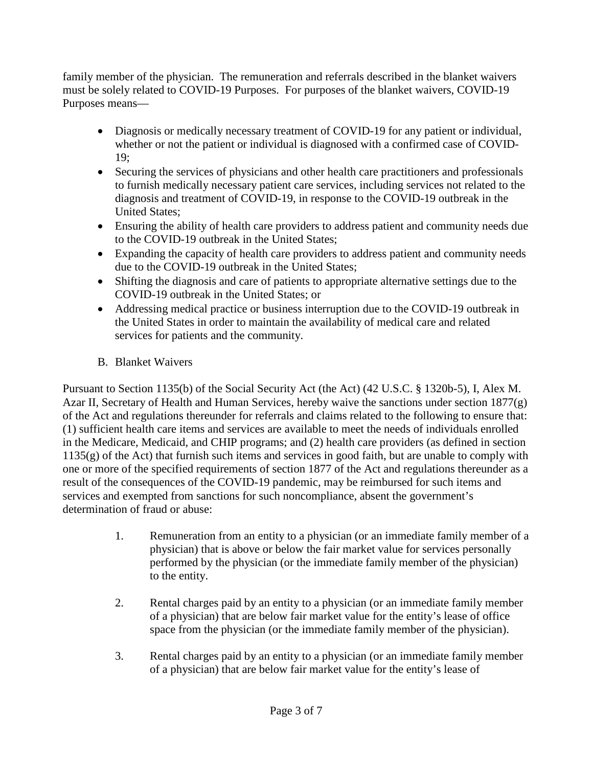family member of the physician. The remuneration and referrals described in the blanket waivers must be solely related to COVID-19 Purposes. For purposes of the blanket waivers, COVID-19 Purposes means—

- Diagnosis or medically necessary treatment of COVID-19 for any patient or individual, whether or not the patient or individual is diagnosed with a confirmed case of COVID-19;
- Securing the services of physicians and other health care practitioners and professionals to furnish medically necessary patient care services, including services not related to the diagnosis and treatment of COVID-19, in response to the COVID-19 outbreak in the United States;
- Ensuring the ability of health care providers to address patient and community needs due to the COVID-19 outbreak in the United States;
- Expanding the capacity of health care providers to address patient and community needs due to the COVID-19 outbreak in the United States;
- Shifting the diagnosis and care of patients to appropriate alternative settings due to the COVID-19 outbreak in the United States; or
- Addressing medical practice or business interruption due to the COVID-19 outbreak in the United States in order to maintain the availability of medical care and related services for patients and the community.
- B. Blanket Waivers

Pursuant to Section 1135(b) of the Social Security Act (the Act) (42 U.S.C. § 1320b-5), I, Alex M. Azar II, Secretary of Health and Human Services, hereby waive the sanctions under section 1877(g) of the Act and regulations thereunder for referrals and claims related to the following to ensure that: (1) sufficient health care items and services are available to meet the needs of individuals enrolled in the Medicare, Medicaid, and CHIP programs; and (2) health care providers (as defined in section 1135(g) of the Act) that furnish such items and services in good faith, but are unable to comply with one or more of the specified requirements of section 1877 of the Act and regulations thereunder as a result of the consequences of the COVID-19 pandemic, may be reimbursed for such items and services and exempted from sanctions for such noncompliance, absent the government's determination of fraud or abuse:

- 1. Remuneration from an entity to a physician (or an immediate family member of a physician) that is above or below the fair market value for services personally performed by the physician (or the immediate family member of the physician) to the entity.
- 2. Rental charges paid by an entity to a physician (or an immediate family member of a physician) that are below fair market value for the entity's lease of office space from the physician (or the immediate family member of the physician).
- 3. Rental charges paid by an entity to a physician (or an immediate family member of a physician) that are below fair market value for the entity's lease of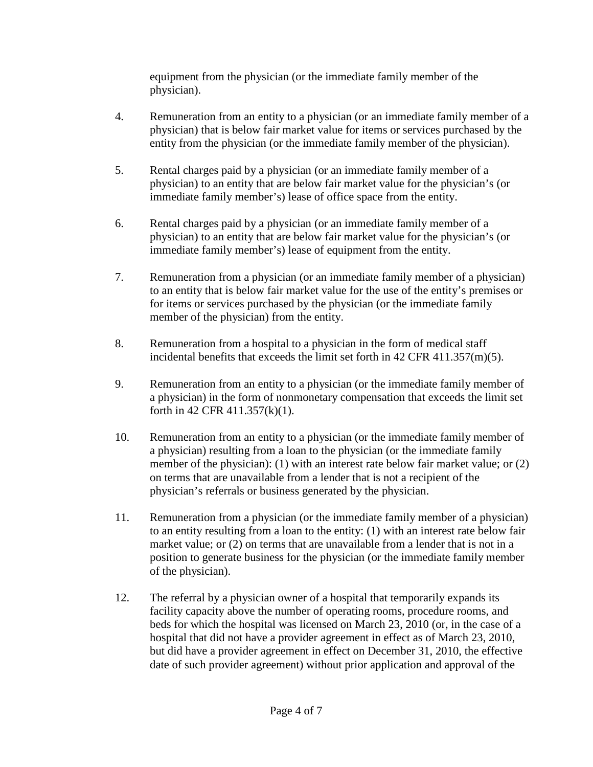equipment from the physician (or the immediate family member of the physician).

- 4. Remuneration from an entity to a physician (or an immediate family member of a physician) that is below fair market value for items or services purchased by the entity from the physician (or the immediate family member of the physician).
- 5. Rental charges paid by a physician (or an immediate family member of a physician) to an entity that are below fair market value for the physician's (or immediate family member's) lease of office space from the entity.
- 6. Rental charges paid by a physician (or an immediate family member of a physician) to an entity that are below fair market value for the physician's (or immediate family member's) lease of equipment from the entity.
- 7. Remuneration from a physician (or an immediate family member of a physician) to an entity that is below fair market value for the use of the entity's premises or for items or services purchased by the physician (or the immediate family member of the physician) from the entity.
- 8. Remuneration from a hospital to a physician in the form of medical staff incidental benefits that exceeds the limit set forth in 42 CFR 411.357(m)(5).
- 9. Remuneration from an entity to a physician (or the immediate family member of a physician) in the form of nonmonetary compensation that exceeds the limit set forth in 42 CFR 411.357(k)(1).
- 10. Remuneration from an entity to a physician (or the immediate family member of a physician) resulting from a loan to the physician (or the immediate family member of the physician): (1) with an interest rate below fair market value; or (2) on terms that are unavailable from a lender that is not a recipient of the physician's referrals or business generated by the physician.
- 11. Remuneration from a physician (or the immediate family member of a physician) to an entity resulting from a loan to the entity: (1) with an interest rate below fair market value; or (2) on terms that are unavailable from a lender that is not in a position to generate business for the physician (or the immediate family member of the physician).
- 12. The referral by a physician owner of a hospital that temporarily expands its facility capacity above the number of operating rooms, procedure rooms, and beds for which the hospital was licensed on March 23, 2010 (or, in the case of a hospital that did not have a provider agreement in effect as of March 23, 2010, but did have a provider agreement in effect on December 31, 2010, the effective date of such provider agreement) without prior application and approval of the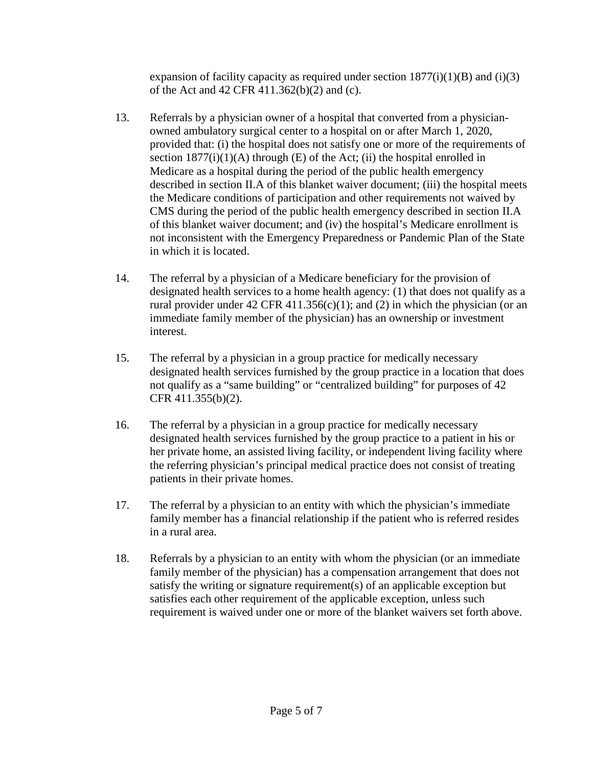expansion of facility capacity as required under section  $1877(i)(1)(B)$  and (i)(3) of the Act and 42 CFR 411.362(b)(2) and (c).

- 13. Referrals by a physician owner of a hospital that converted from a physicianowned ambulatory surgical center to a hospital on or after March 1, 2020, provided that: (i) the hospital does not satisfy one or more of the requirements of section  $1877(i)(1)(A)$  through (E) of the Act; (ii) the hospital enrolled in Medicare as a hospital during the period of the public health emergency described in section II.A of this blanket waiver document; (iii) the hospital meets the Medicare conditions of participation and other requirements not waived by CMS during the period of the public health emergency described in section II.A of this blanket waiver document; and (iv) the hospital's Medicare enrollment is not inconsistent with the Emergency Preparedness or Pandemic Plan of the State in which it is located.
- 14. The referral by a physician of a Medicare beneficiary for the provision of designated health services to a home health agency: (1) that does not qualify as a rural provider under 42 CFR 411.356(c)(1); and (2) in which the physician (or an immediate family member of the physician) has an ownership or investment interest.
- 15. The referral by a physician in a group practice for medically necessary designated health services furnished by the group practice in a location that does not qualify as a "same building" or "centralized building" for purposes of 42 CFR 411.355(b)(2).
- 16. The referral by a physician in a group practice for medically necessary designated health services furnished by the group practice to a patient in his or her private home, an assisted living facility, or independent living facility where the referring physician's principal medical practice does not consist of treating patients in their private homes.
- 17. The referral by a physician to an entity with which the physician's immediate family member has a financial relationship if the patient who is referred resides in a rural area.
- 18. Referrals by a physician to an entity with whom the physician (or an immediate family member of the physician) has a compensation arrangement that does not satisfy the writing or signature requirement(s) of an applicable exception but satisfies each other requirement of the applicable exception, unless such requirement is waived under one or more of the blanket waivers set forth above.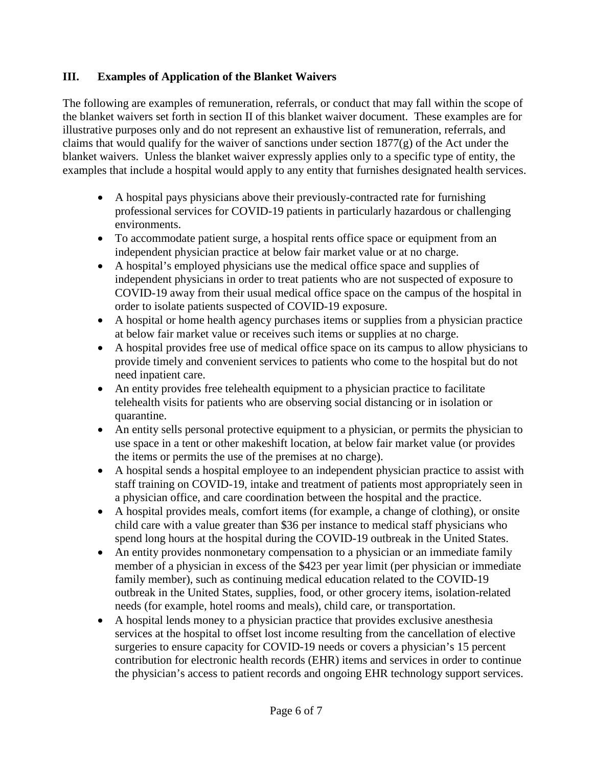## **III. Examples of Application of the Blanket Waivers**

The following are examples of remuneration, referrals, or conduct that may fall within the scope of the blanket waivers set forth in section II of this blanket waiver document. These examples are for illustrative purposes only and do not represent an exhaustive list of remuneration, referrals, and claims that would qualify for the waiver of sanctions under section 1877(g) of the Act under the blanket waivers. Unless the blanket waiver expressly applies only to a specific type of entity, the examples that include a hospital would apply to any entity that furnishes designated health services.

- A hospital pays physicians above their previously-contracted rate for furnishing professional services for COVID-19 patients in particularly hazardous or challenging environments.
- To accommodate patient surge, a hospital rents office space or equipment from an independent physician practice at below fair market value or at no charge.
- A hospital's employed physicians use the medical office space and supplies of independent physicians in order to treat patients who are not suspected of exposure to COVID-19 away from their usual medical office space on the campus of the hospital in order to isolate patients suspected of COVID-19 exposure.
- A hospital or home health agency purchases items or supplies from a physician practice at below fair market value or receives such items or supplies at no charge.
- A hospital provides free use of medical office space on its campus to allow physicians to provide timely and convenient services to patients who come to the hospital but do not need inpatient care.
- An entity provides free telehealth equipment to a physician practice to facilitate telehealth visits for patients who are observing social distancing or in isolation or quarantine.
- An entity sells personal protective equipment to a physician, or permits the physician to use space in a tent or other makeshift location, at below fair market value (or provides the items or permits the use of the premises at no charge).
- A hospital sends a hospital employee to an independent physician practice to assist with staff training on COVID-19, intake and treatment of patients most appropriately seen in a physician office, and care coordination between the hospital and the practice.
- A hospital provides meals, comfort items (for example, a change of clothing), or onsite child care with a value greater than \$36 per instance to medical staff physicians who spend long hours at the hospital during the COVID-19 outbreak in the United States.
- An entity provides nonmonetary compensation to a physician or an immediate family member of a physician in excess of the \$423 per year limit (per physician or immediate family member), such as continuing medical education related to the COVID-19 outbreak in the United States, supplies, food, or other grocery items, isolation-related needs (for example, hotel rooms and meals), child care, or transportation.
- A hospital lends money to a physician practice that provides exclusive anesthesia services at the hospital to offset lost income resulting from the cancellation of elective surgeries to ensure capacity for COVID-19 needs or covers a physician's 15 percent contribution for electronic health records (EHR) items and services in order to continue the physician's access to patient records and ongoing EHR technology support services.